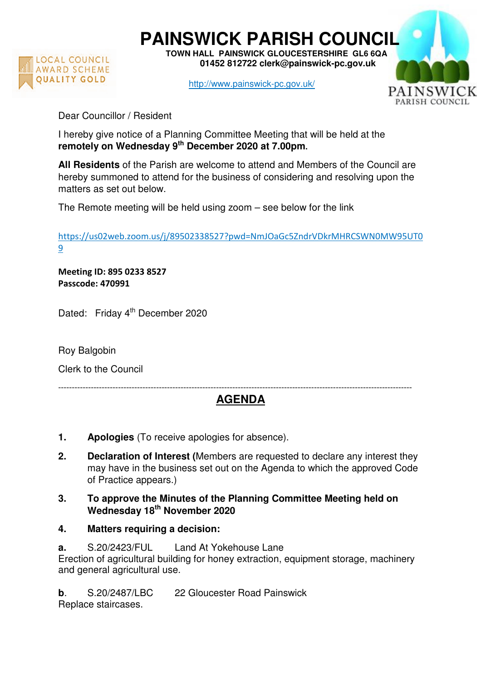

**PAINSWICK PARISH COUNCIL TOWN HALL PAINSWICK GLOUCESTERSHIRE GL6 6QA** 

 **01452 812722 clerk@painswick-pc.gov.uk** 

http://www.painswick-pc.gov.uk/



Dear Councillor / Resident

I hereby give notice of a Planning Committee Meeting that will be held at the **remotely on Wednesday 9th December 2020 at 7.00pm.**

**All Residents** of the Parish are welcome to attend and Members of the Council are hereby summoned to attend for the business of considering and resolving upon the matters as set out below.

The Remote meeting will be held using zoom – see below for the link

https://us02web.zoom.us/j/89502338527?pwd=NmJOaGc5ZndrVDkrMHRCSWN0MW95UT0 9

**Meeting ID: 895 0233 8527 Passcode: 470991** 

Dated: Friday 4<sup>th</sup> December 2020

Roy Balgobin

Clerk to the Council

## ---------------------------------------------------------------------------------------------------------------------------------- **AGENDA**

- **1. Apologies** (To receive apologies for absence).
- **2. Declaration of Interest (**Members are requested to declare any interest they may have in the business set out on the Agenda to which the approved Code of Practice appears.)
- **3. To approve the Minutes of the Planning Committee Meeting held on Wednesday 18th November 2020**
- **4. Matters requiring a decision:**
- **a.** S.20/2423/FUL Land At Yokehouse Lane

Erection of agricultural building for honey extraction, equipment storage, machinery and general agricultural use.

**b**. S.20/2487/LBC 22 Gloucester Road Painswick

Replace staircases.